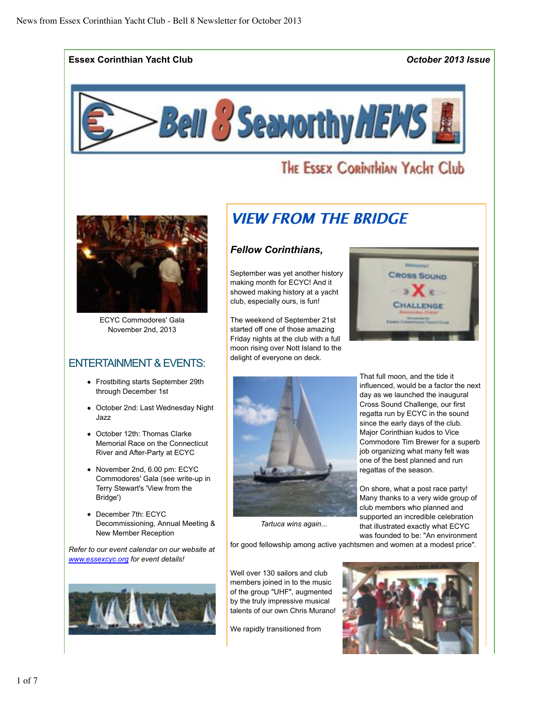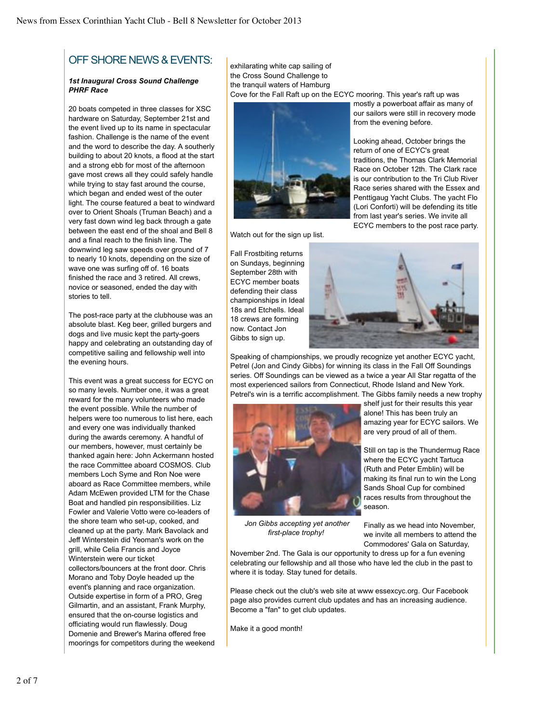# OFF SHORE NEWS & EVENTS:

#### *1st Inaugural Cross Sound Challenge PHRF Race*

20 boats competed in three classes for XSC hardware on Saturday, September 21st and the event lived up to its name in spectacular fashion. Challenge is the name of the event and the word to describe the day. A southerly building to about 20 knots, a flood at the start and a strong ebb for most of the afternoon gave most crews all they could safely handle while trying to stay fast around the course, which began and ended west of the outer light. The course featured a beat to windward over to Orient Shoals (Truman Beach) and a very fast down wind leg back through a gate between the east end of the shoal and Bell 8 and a final reach to the finish line. The downwind leg saw speeds over ground of 7 to nearly 10 knots, depending on the size of wave one was surfing off of. 16 boats finished the race and 3 retired. All crews, novice or seasoned, ended the day with stories to tell.

The post-race party at the clubhouse was an absolute blast. Keg beer, grilled burgers and dogs and live music kept the party-goers happy and celebrating an outstanding day of competitive sailing and fellowship well into the evening hours.

This event was a great success for ECYC on so many levels. Number one, it was a great reward for the many volunteers who made the event possible. While the number of helpers were too numerous to list here, each and every one was individually thanked during the awards ceremony. A handful of our members, however, must certainly be thanked again here: John Ackermann hosted the race Committee aboard COSMOS. Club members Loch Syme and Ron Noe were aboard as Race Committee members, while Adam McEwen provided LTM for the Chase Boat and handled pin responsibilities. Liz Fowler and Valerie Votto were co-leaders of the shore team who set-up, cooked, and cleaned up at the party. Mark Bavolack and Jeff Winterstein did Yeoman's work on the grill, while Celia Francis and Joyce Winterstein were our ticket collectors/bouncers at the front door. Chris Morano and Toby Doyle headed up the event's planning and race organization. Outside expertise in form of a PRO, Greg Gilmartin, and an assistant, Frank Murphy, ensured that the on-course logistics and officiating would run flawlessly. Doug Domenie and Brewer's Marina offered free moorings for competitors during the weekend exhilarating white cap sailing of the Cross Sound Challenge to the tranquil waters of Hamburg Cove for the Fall Raft up on the ECYC mooring. This year's raft up was



Watch out for the sign up list.

mostly a powerboat affair as many of our sailors were still in recovery mode from the evening before.

Looking ahead, October brings the return of one of ECYC's great traditions, the Thomas Clark Memorial Race on October 12th. The Clark race is our contribution to the Tri Club River Race series shared with the Essex and Penttigaug Yacht Clubs. The yacht Flo (Lori Conforti) will be defending its title from last year's series. We invite all ECYC members to the post race party.

Fall Frostbiting returns on Sundays, beginning September 28th with ECYC member boats defending their class championships in Ideal 18s and Etchells. Ideal 18 crews are forming now. Contact Jon Gibbs to sign up.



Speaking of championships, we proudly recognize yet another ECYC yacht, Petrel (Jon and Cindy Gibbs) for winning its class in the Fall Off Soundings series. Off Soundings can be viewed as a twice a year All Star regatta of the most experienced sailors from Connecticut, Rhode Island and New York. Petrel's win is a terrific accomplishment. The Gibbs family needs a new trophy



*Jon Gibbs accepting yet another first-place trophy!* 

shelf just for their results this year alone! This has been truly an amazing year for ECYC sailors. We are very proud of all of them.

Still on tap is the Thundermug Race where the ECYC yacht Tartuca (Ruth and Peter Emblin) will be making its final run to win the Long Sands Shoal Cup for combined races results from throughout the season.

Finally as we head into November, we invite all members to attend the Commodores' Gala on Saturday,

November 2nd. The Gala is our opportunity to dress up for a fun evening celebrating our fellowship and all those who have led the club in the past to where it is today. Stay tuned for details.

Please check out the club's web site at www essexcyc.org. Our Facebook page also provides current club updates and has an increasing audience. Become a "fan" to get club updates.

Make it a good month!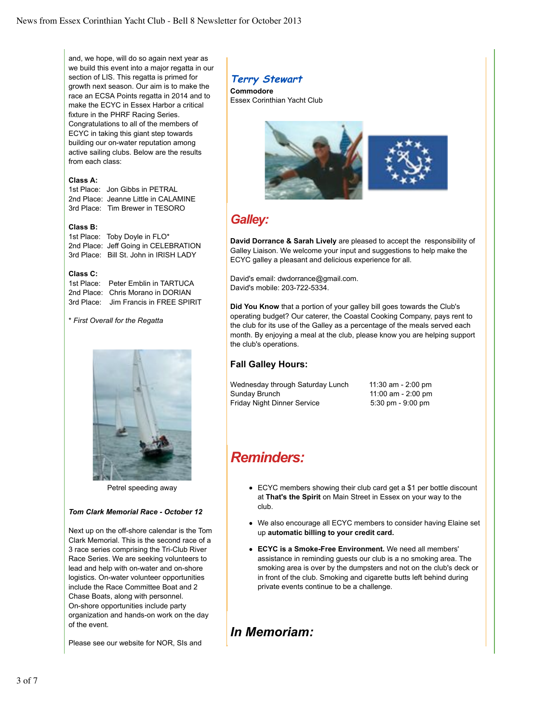and, we hope, will do so again next year as we build this event into a major regatta in our section of LIS. This regatta is primed for growth next season. Our aim is to make the race an ECSA Points regatta in 2014 and to make the ECYC in Essex Harbor a critical fixture in the PHRF Racing Series. Congratulations to all of the members of ECYC in taking this giant step towards building our on-water reputation among active sailing clubs. Below are the results from each class:

#### **Class A:**

1st Place: Jon Gibbs in PETRAL 2nd Place: Jeanne Little in CALAMINE 3rd Place: Tim Brewer in TESORO

#### **Class B:**

1st Place: Toby Doyle in FLO\* 2nd Place: Jeff Going in CELEBRATION 3rd Place: Bill St. John in IRISH LADY

#### **Class C:**

1st Place: Peter Emblin in TARTUCA 2nd Place: Chris Morano in DORIAN 3rd Place: Jim Francis in FREE SPIRIT

#### \* *First Overall for the Regatta*



Petrel speeding away

### *Tom Clark Memorial Race - October 12*

Next up on the off-shore calendar is the Tom Clark Memorial. This is the second race of a 3 race series comprising the Tri-Club River Race Series. We are seeking volunteers to lead and help with on-water and on-shore logistics. On-water volunteer opportunities include the Race Committee Boat and 2 Chase Boats, along with personnel. On-shore opportunities include party organization and hands-on work on the day of the event.

Please see our website for NOR, SIs and

## **Terry Stewart**

**Commodore** Essex Corinthian Yacht Club



# *Galley:*

**David Dorrance & Sarah Lively** are pleased to accept the responsibility of Galley Liaison. We welcome your input and suggestions to help make the ECYC galley a pleasant and delicious experience for all.

David's email: dwdorrance@gmail.com. David's mobile: 203-722-5334.

**Did You Know** that a portion of your galley bill goes towards the Club's operating budget? Our caterer, the Coastal Cooking Company, pays rent to the club for its use of the Galley as a percentage of the meals served each month. By enjoying a meal at the club, please know you are helping support the club's operations.

### **Fall Galley Hours:**

| Wednesday through Saturday Lunch | 11:30 am - 2:00 pm                  |
|----------------------------------|-------------------------------------|
| Sunday Brunch                    | 11:00 am - 2:00 pm                  |
| Friday Night Dinner Service      | $5:30 \text{ pm} - 9:00 \text{ pm}$ |

# *Reminders:*

- ECYC members showing their club card get a \$1 per bottle discount at **That's the Spirit** on Main Street in Essex on your way to the club.
- We also encourage all ECYC members to consider having Elaine set up **automatic billing to your credit card.**
- **ECYC is a Smoke-Free Environment.** We need all members' assistance in reminding guests our club is a no smoking area. The smoking area is over by the dumpsters and not on the club's deck or in front of the club. Smoking and cigarette butts left behind during private events continue to be a challenge.

## *In Memoriam:*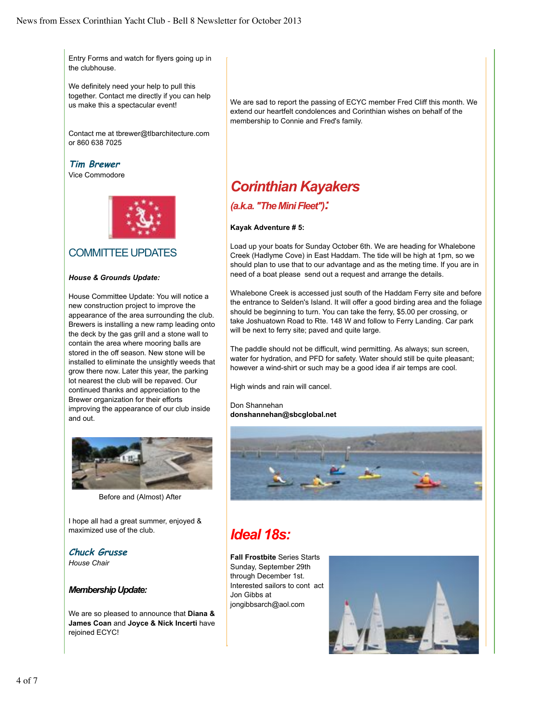Entry Forms and watch for flyers going up in the clubhouse.

We definitely need your help to pull this together. Contact me directly if you can help us make this a spectacular event!

Contact me at tbrewer@tlbarchitecture.com or 860 638 7025

**Tim Brewer**

Vice Commodore



## COMMITTEE UPDATES

### *House & Grounds Update:*

House Committee Update: You will notice a new construction project to improve the appearance of the area surrounding the club. Brewers is installing a new ramp leading onto the deck by the gas grill and a stone wall to contain the area where mooring balls are stored in the off season. New stone will be installed to eliminate the unsightly weeds that grow there now. Later this year, the parking lot nearest the club will be repaved. Our continued thanks and appreciation to the Brewer organization for their efforts improving the appearance of our club inside and out.



Before and (Almost) After

I hope all had a great summer, enjoyed & maximized use of the club.

**Chuck Grusse**

*House Chair*

### *Membership Update:*

We are so pleased to announce that **Diana & James Coan** and **Joyce & Nick Incerti** have rejoined ECYC!

We are sad to report the passing of ECYC member Fred Cliff this month. We extend our heartfelt condolences and Corinthian wishes on behalf of the membership to Connie and Fred's family.

# *Corinthian Kayakers*

## *(a.k.a. "The Mini Fleet"):*

### **Kayak Adventure # 5:**

Load up your boats for Sunday October 6th. We are heading for Whalebone Creek (Hadlyme Cove) in East Haddam. The tide will be high at 1pm, so we should plan to use that to our advantage and as the meting time. If you are in need of a boat please send out a request and arrange the details.

Whalebone Creek is accessed just south of the Haddam Ferry site and before the entrance to Selden's Island. It will offer a good birding area and the foliage should be beginning to turn. You can take the ferry, \$5.00 per crossing, or take Joshuatown Road to Rte. 148 W and follow to Ferry Landing. Car park will be next to ferry site; paved and quite large.

The paddle should not be difficult, wind permitting. As always; sun screen, water for hydration, and PFD for safety. Water should still be quite pleasant; however a wind-shirt or such may be a good idea if air temps are cool.

High winds and rain will cancel.

Don Shannehan **donshannehan@sbcglobal.net**



# *Ideal 18s:*

**Fall Frostbite** Series Starts Sunday, September 29th through December 1st. Interested sailors to cont act Jon Gibbs at jongibbsarch@aol.com

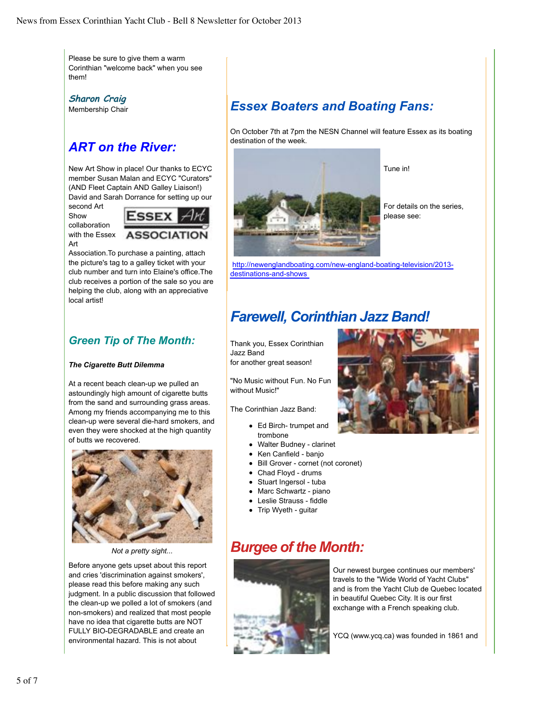Please be sure to give them a warm Corinthian "welcome back" when you see them!

**Sharon Craig** Membership Chair

# *ART on the River:*

New Art Show in place! Our thanks to ECYC member Susan Malan and ECYC "Curators" (AND Fleet Captain AND Galley Liaison!) David and Sarah Dorrance for setting up our

second Art

**Show** collaboration

with the Essex



Art

Association.To purchase a painting, attach the picture's tag to a galley ticket with your club number and turn into Elaine's office.The club receives a portion of the sale so you are helping the club, along with an appreciative local artist!

## *Green Tip of The Month:*

### *The Cigarette Butt Dilemma*

At a recent beach clean-up we pulled an astoundingly high amount of cigarette butts from the sand and surrounding grass areas. Among my friends accompanying me to this clean-up were several die-hard smokers, and even they were shocked at the high quantity of butts we recovered.



*Not a pretty sight...*

Before anyone gets upset about this report and cries 'discrimination against smokers', please read this before making any such judgment. In a public discussion that followed the clean-up we polled a lot of smokers (and non-smokers) and realized that most people have no idea that cigarette butts are NOT FULLY BIO-DEGRADABLE and create an environmental hazard. This is not about

# *Essex Boaters and Boating Fans:*

On October 7th at 7pm the NESN Channel will feature Essex as its boating destination of the week.



For details on the series, please see:

Tune in!

http://newenglandboating.com/new-england-boating-television/2013 destinations-and-shows

# *Farewell, Corinthian Jazz Band!*

Thank you, Essex Corinthian Jazz Band for another great season!

"No Music without Fun. No Fun without Music!"

The Corinthian Jazz Band:

- Ed Birch- trumpet and trombone
- Walter Budney clarinet
- Ken Canfield banio
- Bill Grover cornet (not coronet)
- Chad Floyd drums
- Stuart Ingersol tuba
- Marc Schwartz piano
- Leslie Strauss fiddle
- Trip Wyeth guitar

# *Burgee of the Month:*



Our newest burgee continues our members' travels to the "Wide World of Yacht Clubs" and is from the Yacht Club de Quebec located in beautiful Quebec City. It is our first exchange with a French speaking club.

YCQ (www.ycq.ca) was founded in 1861 and

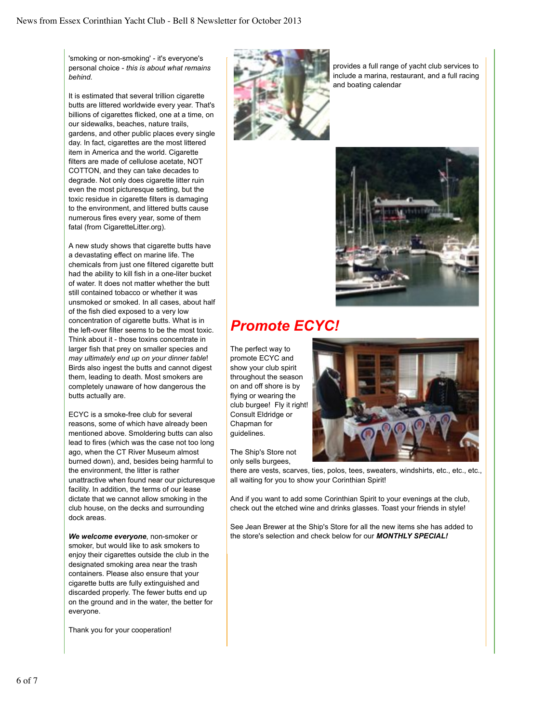'smoking or non-smoking' - it's everyone's personal choice - *this is about what remains behind.* 

It is estimated that several trillion cigarette butts are littered worldwide every year. That's billions of cigarettes flicked, one at a time, on our sidewalks, beaches, nature trails, gardens, and other public places every single day. In fact, cigarettes are the most littered item in America and the world. Cigarette filters are made of cellulose acetate, NOT COTTON, and they can take decades to degrade. Not only does cigarette litter ruin even the most picturesque setting, but the toxic residue in cigarette filters is damaging to the environment, and littered butts cause numerous fires every year, some of them fatal (from CigaretteLitter.org).

A new study shows that cigarette butts have a devastating effect on marine life. The chemicals from just one filtered cigarette butt had the ability to kill fish in a one-liter bucket of water. It does not matter whether the butt still contained tobacco or whether it was unsmoked or smoked. In all cases, about half of the fish died exposed to a very low concentration of cigarette butts. What is in the left-over filter seems to be the most toxic. Think about it - those toxins concentrate in larger fish that prey on smaller species and *may ultimately end up on your dinner table*! Birds also ingest the butts and cannot digest them, leading to death. Most smokers are completely unaware of how dangerous the butts actually are.

ECYC is a smoke-free club for several reasons, some of which have already been mentioned above. Smoldering butts can also lead to fires (which was the case not too long ago, when the CT River Museum almost burned down), and, besides being harmful to the environment, the litter is rather unattractive when found near our picturesque facility. In addition, the terms of our lease dictate that we cannot allow smoking in the club house, on the decks and surrounding dock areas.

*We welcome everyone*, non-smoker or smoker, but would like to ask smokers to enjoy their cigarettes outside the club in the designated smoking area near the trash containers. Please also ensure that your cigarette butts are fully extinguished and discarded properly. The fewer butts end up on the ground and in the water, the better for everyone.

Thank you for your cooperation!



provides a full range of yacht club services to include a marina, restaurant, and a full racing and boating calendar



# *Promote ECYC!*

The perfect way to promote ECYC and show your club spirit throughout the season on and off shore is by flying or wearing the club burgee! Fly it right! Consult Eldridge or Chapman for guidelines.

The Ship's Store not only sells burgees,



there are vests, scarves, ties, polos, tees, sweaters, windshirts, etc., etc., etc., all waiting for you to show your Corinthian Spirit!

And if you want to add some Corinthian Spirit to your evenings at the club, check out the etched wine and drinks glasses. Toast your friends in style!

See Jean Brewer at the Ship's Store for all the new items she has added to the store's selection and check below for our *MONTHLY SPECIAL!*